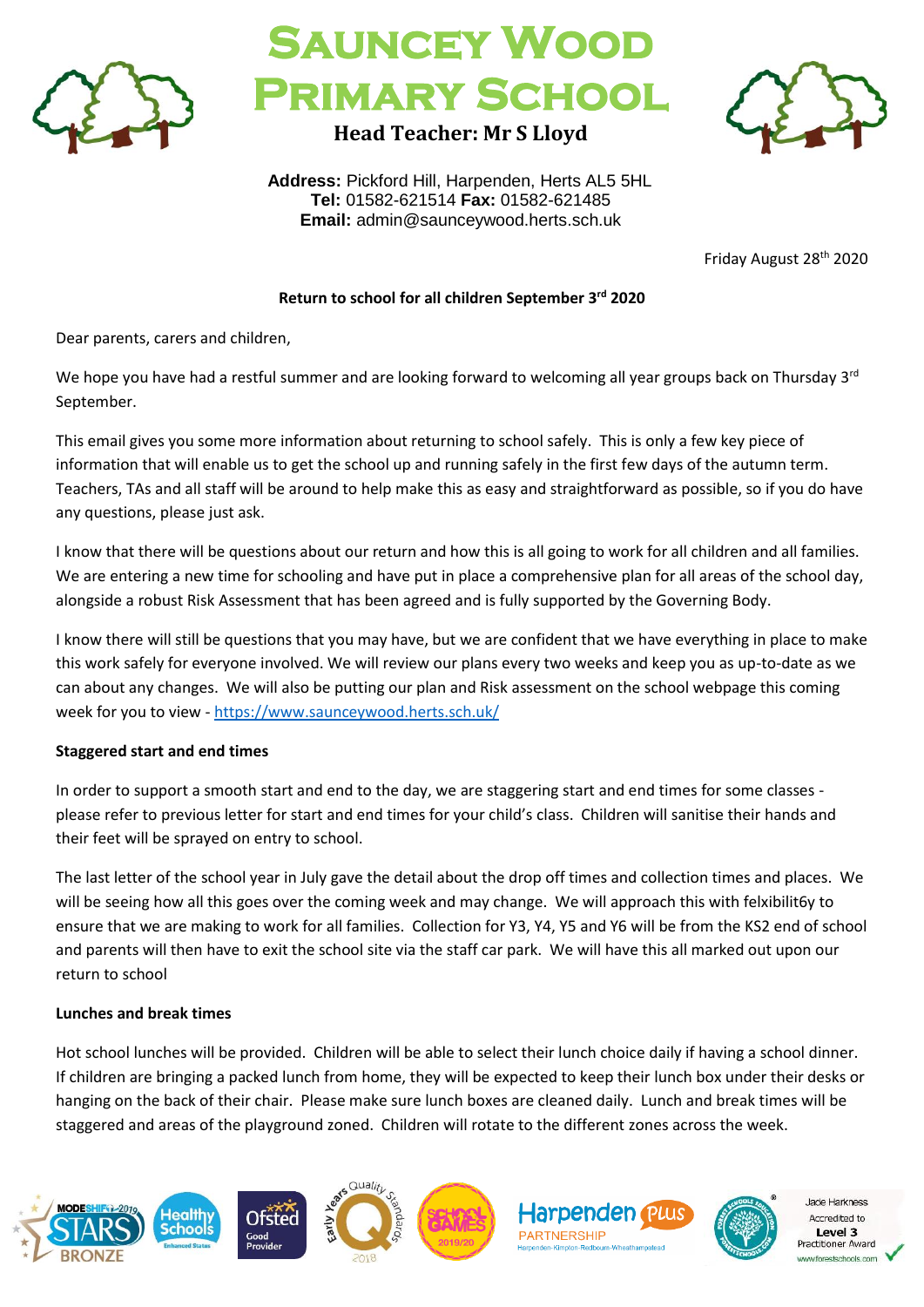



**Head Teacher: Mr S Lloyd**



**Address:** Pickford Hill, Harpenden, Herts AL5 5HL **Tel:** 01582-621514 **Fax:** 01582-621485 **Email:** admin@saunceywood.herts.sch.uk

Friday August 28th 2020

## **Return to school for all children September 3 rd 2020**

Dear parents, carers and children,

We hope you have had a restful summer and are looking forward to welcoming all year groups back on Thursday 3<sup>rd</sup> September.

This email gives you some more information about returning to school safely. This is only a few key piece of information that will enable us to get the school up and running safely in the first few days of the autumn term. Teachers, TAs and all staff will be around to help make this as easy and straightforward as possible, so if you do have any questions, please just ask.

I know that there will be questions about our return and how this is all going to work for all children and all families. We are entering a new time for schooling and have put in place a comprehensive plan for all areas of the school day, alongside a robust Risk Assessment that has been agreed and is fully supported by the Governing Body.

I know there will still be questions that you may have, but we are confident that we have everything in place to make this work safely for everyone involved. We will review our plans every two weeks and keep you as up-to-date as we can about any changes. We will also be putting our plan and Risk assessment on the school webpage this coming week for you to view - <https://www.saunceywood.herts.sch.uk/>

## **Staggered start and end times**

In order to support a smooth start and end to the day, we are staggering start and end times for some classes please refer to previous letter for start and end times for your child's class. Children will sanitise their hands and their feet will be sprayed on entry to school.

The last letter of the school year in July gave the detail about the drop off times and collection times and places. We will be seeing how all this goes over the coming week and may change. We will approach this with felxibilit6y to ensure that we are making to work for all families. Collection for Y3, Y4, Y5 and Y6 will be from the KS2 end of school and parents will then have to exit the school site via the staff car park. We will have this all marked out upon our return to school

#### **Lunches and break times**

Hot school lunches will be provided. Children will be able to select their lunch choice daily if having a school dinner. If children are bringing a packed lunch from home, they will be expected to keep their lunch box under their desks or hanging on the back of their chair. Please make sure lunch boxes are cleaned daily. Lunch and break times will be staggered and areas of the playground zoned. Children will rotate to the different zones across the week.

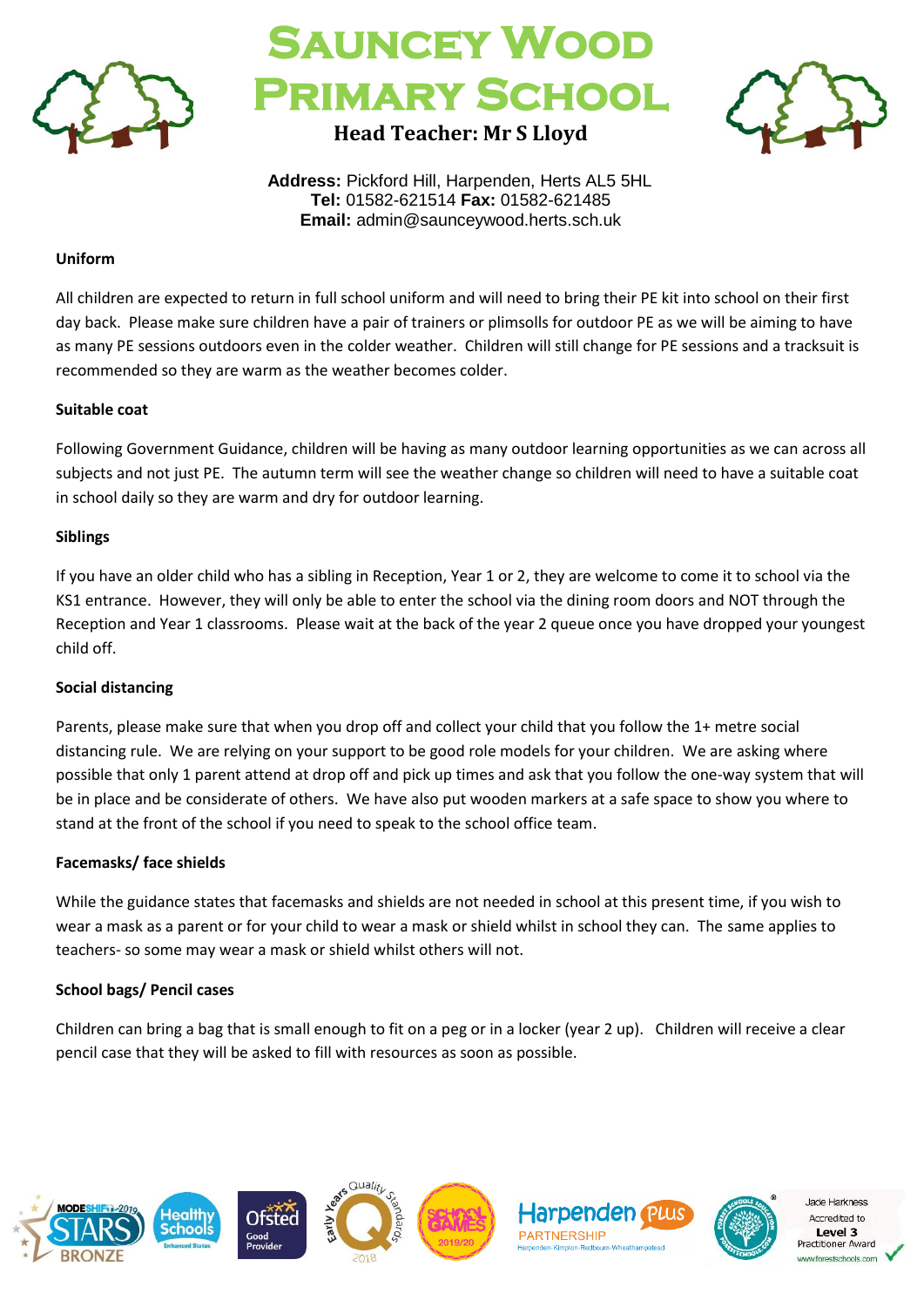





**Address:** Pickford Hill, Harpenden, Herts AL5 5HL **Tel:** 01582-621514 **Fax:** 01582-621485 **Email:** admin@saunceywood.herts.sch.uk

#### **Uniform**

All children are expected to return in full school uniform and will need to bring their PE kit into school on their first day back. Please make sure children have a pair of trainers or plimsolls for outdoor PE as we will be aiming to have as many PE sessions outdoors even in the colder weather. Children will still change for PE sessions and a tracksuit is recommended so they are warm as the weather becomes colder.

#### **Suitable coat**

Following Government Guidance, children will be having as many outdoor learning opportunities as we can across all subjects and not just PE. The autumn term will see the weather change so children will need to have a suitable coat in school daily so they are warm and dry for outdoor learning.

## **Siblings**

If you have an older child who has a sibling in Reception, Year 1 or 2, they are welcome to come it to school via the KS1 entrance. However, they will only be able to enter the school via the dining room doors and NOT through the Reception and Year 1 classrooms. Please wait at the back of the year 2 queue once you have dropped your youngest child off.

## **Social distancing**

Parents, please make sure that when you drop off and collect your child that you follow the 1+ metre social distancing rule. We are relying on your support to be good role models for your children. We are asking where possible that only 1 parent attend at drop off and pick up times and ask that you follow the one-way system that will be in place and be considerate of others. We have also put wooden markers at a safe space to show you where to stand at the front of the school if you need to speak to the school office team.

#### **Facemasks/ face shields**

While the guidance states that facemasks and shields are not needed in school at this present time, if you wish to wear a mask as a parent or for your child to wear a mask or shield whilst in school they can. The same applies to teachers- so some may wear a mask or shield whilst others will not.

## **School bags/ Pencil cases**

Children can bring a bag that is small enough to fit on a peg or in a locker (year 2 up). Children will receive a clear pencil case that they will be asked to fill with resources as soon as possible.











PLU

**Jade Harkness** Accredited to Level 3 **Practitioner Award** forestschools.com